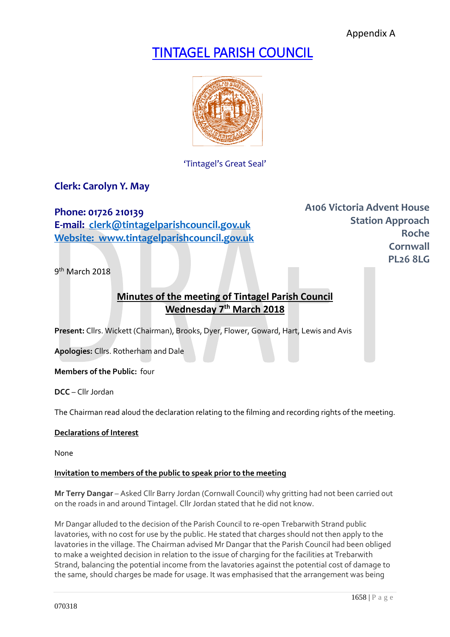Appendix A

# TINTAGEL PARISH COUNCIL



'Tintagel's Great Seal'

## **Clerk: Carolyn Y. May**

**Phone: 01726 210139 E-mail: [clerk@tintagelparishcouncil.gov.uk](mailto:clerk@tintagelparishcouncil.gov.uk) Website: www.tintagelparishcouncil.gov.uk** **A106 Victoria Advent House Station Approach Roche Cornwall PL26 8LG**

9<sup>th</sup> March 2018

# **Minutes of the meeting of Tintagel Parish Council Wednesday 7 th March 2018**

**Present:** Cllrs. Wickett (Chairman), Brooks, Dyer, Flower, Goward, Hart, Lewis and Avis

**Apologies:** Cllrs. Rotherham and Dale

**Members of the Public:** four

**DCC** – Cllr Jordan

The Chairman read aloud the declaration relating to the filming and recording rights of the meeting.

#### **Declarations of Interest**

None

#### **Invitation to members of the public to speak prior to the meeting**

**Mr Terry Dangar** – Asked Cllr Barry Jordan (Cornwall Council) why gritting had not been carried out on the roads in and around Tintagel. Cllr Jordan stated that he did not know.

Mr Dangar alluded to the decision of the Parish Council to re-open Trebarwith Strand public lavatories, with no cost for use by the public. He stated that charges should not then apply to the lavatories in the village. The Chairman advised Mr Dangar that the Parish Council had been obliged to make a weighted decision in relation to the issue of charging for the facilities at Trebarwith Strand, balancing the potential income from the lavatories against the potential cost of damage to the same, should charges be made for usage. It was emphasised that the arrangement was being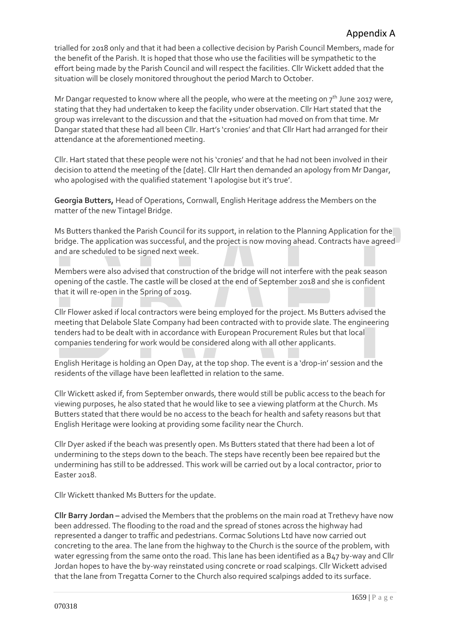trialled for 2018 only and that it had been a collective decision by Parish Council Members, made for the benefit of the Parish. It is hoped that those who use the facilities will be sympathetic to the effort being made by the Parish Council and will respect the facilities. Cllr Wickett added that the situation will be closely monitored throughout the period March to October.

Mr Dangar requested to know where all the people, who were at the meeting on  $7^{th}$  June 2017 were, stating that they had undertaken to keep the facility under observation. Cllr Hart stated that the group was irrelevant to the discussion and that the +situation had moved on from that time. Mr Dangar stated that these had all been Cllr. Hart's 'cronies' and that Cllr Hart had arranged for their attendance at the aforementioned meeting.

Cllr. Hart stated that these people were not his 'cronies' and that he had not been involved in their decision to attend the meeting of the [date}. Cllr Hart then demanded an apology from Mr Dangar, who apologised with the qualified statement 'I apologise but it's true'.

**Georgia Butters,** Head of Operations, Cornwall, English Heritage address the Members on the matter of the new Tintagel Bridge.

Ms Butters thanked the Parish Council for its support, in relation to the Planning Application for the bridge. The application was successful, and the project is now moving ahead. Contracts have agreed and are scheduled to be signed next week.

Members were also advised that construction of the bridge will not interfere with the peak season opening of the castle. The castle will be closed at the end of September 2018 and she is confident that it will re-open in the Spring of 2019.

Cllr Flower asked if local contractors were being employed for the project. Ms Butters advised the meeting that Delabole Slate Company had been contracted with to provide slate. The engineering tenders had to be dealt with in accordance with European Procurement Rules but that local companies tendering for work would be considered along with all other applicants.

English Heritage is holding an Open Day, at the top shop. The event is a 'drop-in' session and the residents of the village have been leafletted in relation to the same.

Cllr Wickett asked if, from September onwards, there would still be public access to the beach for viewing purposes, he also stated that he would like to see a viewing platform at the Church. Ms Butters stated that there would be no access to the beach for health and safety reasons but that English Heritage were looking at providing some facility near the Church.

Cllr Dyer asked if the beach was presently open. Ms Butters stated that there had been a lot of undermining to the steps down to the beach. The steps have recently been bee repaired but the undermining has still to be addressed. This work will be carried out by a local contractor, prior to Easter 2018.

Cllr Wickett thanked Ms Butters for the update.

**Cllr Barry Jordan –** advised the Members that the problems on the main road at Trethevy have now been addressed. The flooding to the road and the spread of stones across the highway had represented a danger to traffic and pedestrians. Cormac Solutions Ltd have now carried out concreting to the area. The lane from the highway to the Church is the source of the problem, with water egressing from the same onto the road. This lane has been identified as a B47 by-way and Cllr Jordan hopes to have the by-way reinstated using concrete or road scalpings. Cllr Wickett advised that the lane from Tregatta Corner to the Church also required scalpings added to its surface.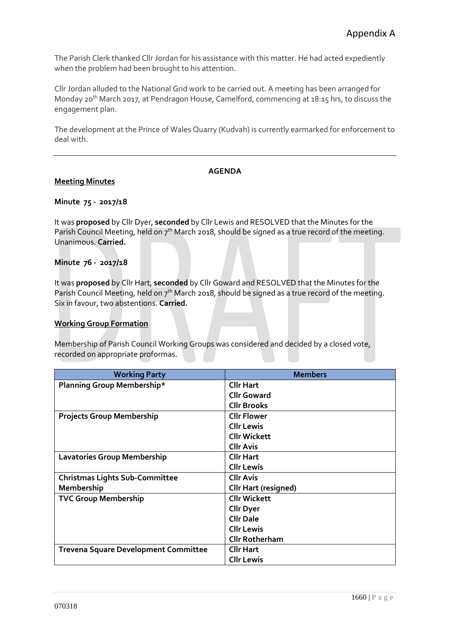The Parish Clerk thanked Cllr Jordan for his assistance with this matter. He had acted expediently when the problem had been brought to his attention.

Cllr Jordan alluded to the National Grid work to be carried out. A meeting has been arranged for Monday 20th March 2017, at Pendragon House, Camelford, commencing at 18:15 hrs, to discuss the engagement plan.

The development at the Prince of Wales Quarry (Kudvah) is currently earmarked for enforcement to deal with.

#### **AGENDA**

#### **Meeting Minutes**

#### **Minute 75 - 2017/18**

It was **proposed** by Cllr Dyer, **seconded** by Cllr Lewis and RESOLVED that the Minutes for the Parish Council Meeting, held on  $7<sup>th</sup>$  March 2018, should be signed as a true record of the meeting. Unanimous. **Carried.**

#### **Minute 76 - 2017/18**

It was **proposed** by Cllr Hart, **seconded** by Cllr Goward and RESOLVED that the Minutes for the Parish Council Meeting, held on  $7<sup>th</sup>$  March 2018, should be signed as a true record of the meeting. Six in favour, two abstentions. **Carried.**

#### **Working Group Formation**

Membership of Parish Council Working Groups was considered and decided by a closed vote, recorded on appropriate proformas.

| <b>Working Party</b>                        | <b>Members</b>              |
|---------------------------------------------|-----------------------------|
| Planning Group Membership*                  | <b>Cllr Hart</b>            |
|                                             | <b>Cllr Goward</b>          |
|                                             | <b>Cllr Brooks</b>          |
| <b>Projects Group Membership</b>            | <b>Cllr Flower</b>          |
|                                             | <b>Cllr Lewis</b>           |
|                                             | <b>Cllr Wickett</b>         |
|                                             | <b>Cllr Avis</b>            |
| <b>Lavatories Group Membership</b>          | <b>Cllr Hart</b>            |
|                                             | <b>Cllr Lewis</b>           |
| <b>Christmas Lights Sub-Committee</b>       | <b>Cllr Avis</b>            |
| Membership                                  | <b>Cllr Hart (resigned)</b> |
| <b>TVC Group Membership</b>                 | <b>Cllr Wickett</b>         |
|                                             | <b>Cllr Dyer</b>            |
|                                             | <b>Cllr Dale</b>            |
|                                             | <b>Cllr Lewis</b>           |
|                                             | <b>Cllr Rotherham</b>       |
| <b>Trevena Square Development Committee</b> | <b>Cllr Hart</b>            |
|                                             | <b>Cllr Lewis</b>           |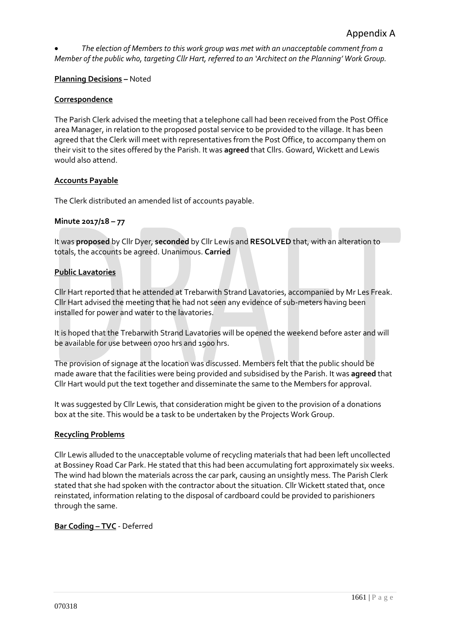• *The election of Members to this work group was met with an unacceptable comment from a Member of the public who, targeting Cllr Hart, referred to an 'Architect on the Planning' Work Group.*

#### **Planning Decisions –** Noted

#### **Correspondence**

The Parish Clerk advised the meeting that a telephone call had been received from the Post Office area Manager, in relation to the proposed postal service to be provided to the village. It has been agreed that the Clerk will meet with representatives from the Post Office, to accompany them on their visit to the sites offered by the Parish. It was **agreed** that Cllrs. Goward, Wickett and Lewis would also attend.

#### **Accounts Payable**

The Clerk distributed an amended list of accounts payable.

#### **Minute 2017/18 – 77**

It was **proposed** by Cllr Dyer, **seconded** by Cllr Lewis and **RESOLVED** that, with an alteration to totals, the accounts be agreed. Unanimous. **Carried**

#### **Public Lavatories**

Cllr Hart reported that he attended at Trebarwith Strand Lavatories, accompanied by Mr Les Freak. Cllr Hart advised the meeting that he had not seen any evidence of sub-meters having been installed for power and water to the lavatories.

It is hoped that the Trebarwith Strand Lavatories will be opened the weekend before aster and will be available for use between 0700 hrs and 1900 hrs.

The provision of signage at the location was discussed. Members felt that the public should be made aware that the facilities were being provided and subsidised by the Parish. It was **agreed** that Cllr Hart would put the text together and disseminate the same to the Members for approval.

It was suggested by Cllr Lewis, that consideration might be given to the provision of a donations box at the site. This would be a task to be undertaken by the Projects Work Group.

#### **Recycling Problems**

Cllr Lewis alluded to the unacceptable volume of recycling materials that had been left uncollected at Bossiney Road Car Park. He stated that this had been accumulating fort approximately six weeks. The wind had blown the materials across the car park, causing an unsightly mess. The Parish Clerk stated that she had spoken with the contractor about the situation. Cllr Wickett stated that, once reinstated, information relating to the disposal of cardboard could be provided to parishioners through the same.

**Bar Coding – TVC** - Deferred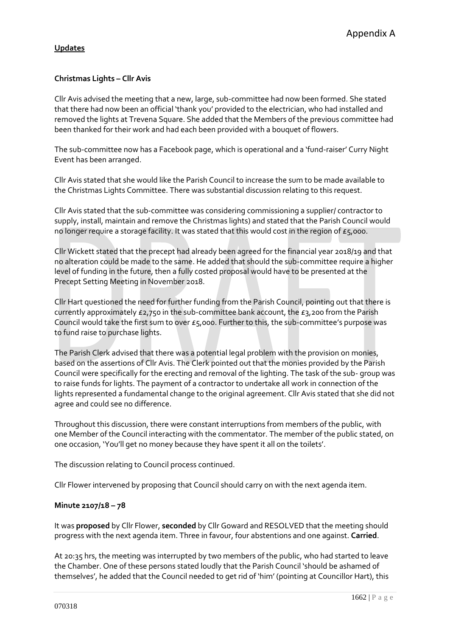### **Updates**

### **Christmas Lights – Cllr Avis**

Cllr Avis advised the meeting that a new, large, sub-committee had now been formed. She stated that there had now been an official 'thank you' provided to the electrician, who had installed and removed the lights at Trevena Square. She added that the Members of the previous committee had been thanked for their work and had each been provided with a bouquet of flowers.

The sub-committee now has a Facebook page, which is operational and a 'fund-raiser' Curry Night Event has been arranged.

Cllr Avis stated that she would like the Parish Council to increase the sum to be made available to the Christmas Lights Committee. There was substantial discussion relating to this request.

Cllr Avis stated that the sub-committee was considering commissioning a supplier/ contractor to supply, install, maintain and remove the Christmas lights) and stated that the Parish Council would no longer require a storage facility. It was stated that this would cost in the region of  $\epsilon_5$ ,000.

Cllr Wickett stated that the precept had already been agreed for the financial year 2018/19 and that no alteration could be made to the same. He added that should the sub-committee require a higher level of funding in the future, then a fully costed proposal would have to be presented at the Precept Setting Meeting in November 2018.

Cllr Hart questioned the need for further funding from the Parish Council, pointing out that there is currently approximately £2,750 in the sub-committee bank account, the £3,200 from the Parish Council would take the first sum to over £5,000. Further to this, the sub-committee's purpose was to fund raise to purchase lights.

The Parish Clerk advised that there was a potential legal problem with the provision on monies, based on the assertions of Cllr Avis. The Clerk pointed out that the monies provided by the Parish Council were specifically for the erecting and removal of the lighting. The task of the sub- group was to raise funds for lights. The payment of a contractor to undertake all work in connection of the lights represented a fundamental change to the original agreement. Cllr Avis stated that she did not agree and could see no difference.

Throughout this discussion, there were constant interruptions from members of the public, with one Member of the Council interacting with the commentator. The member of the public stated, on one occasion, 'You'll get no money because they have spent it all on the toilets'.

The discussion relating to Council process continued.

Cllr Flower intervened by proposing that Council should carry on with the next agenda item.

### **Minute 2107/18 – 78**

It was **proposed** by Cllr Flower, **seconded** by Cllr Goward and RESOLVED that the meeting should progress with the next agenda item. Three in favour, four abstentions and one against. **Carried**.

At 20:35 hrs, the meeting was interrupted by two members of the public, who had started to leave the Chamber. One of these persons stated loudly that the Parish Council 'should be ashamed of themselves', he added that the Council needed to get rid of 'him' (pointing at Councillor Hart), this